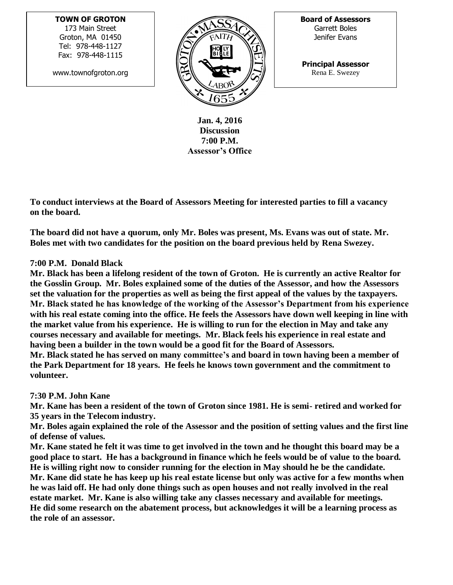## **TOWN OF GROTON**

173 Main Street Groton, MA 01450 Tel: 978-448-1127 Fax: 978-448-1115

www.townofgroton.org



**Board of Assessors** Garrett Boles Jenifer Evans

**Principal Assessor** Rena E. Swezey

**Jan. 4, 2016 Discussion 7:00 P.M. Assessor's Office**

**To conduct interviews at the Board of Assessors Meeting for interested parties to fill a vacancy on the board.** 

**The board did not have a quorum, only Mr. Boles was present, Ms. Evans was out of state. Mr. Boles met with two candidates for the position on the board previous held by Rena Swezey.**

## **7:00 P.M. Donald Black**

**Mr. Black has been a lifelong resident of the town of Groton. He is currently an active Realtor for the Gosslin Group. Mr. Boles explained some of the duties of the Assessor, and how the Assessors set the valuation for the properties as well as being the first appeal of the values by the taxpayers. Mr. Black stated he has knowledge of the working of the Assessor's Department from his experience with his real estate coming into the office. He feels the Assessors have down well keeping in line with the market value from his experience. He is willing to run for the election in May and take any courses necessary and available for meetings. Mr. Black feels his experience in real estate and having been a builder in the town would be a good fit for the Board of Assessors. Mr. Black stated he has served on many committee's and board in town having been a member of the Park Department for 18 years. He feels he knows town government and the commitment to volunteer.**

## **7:30 P.M. John Kane**

**Mr. Kane has been a resident of the town of Groton since 1981. He is semi- retired and worked for 35 years in the Telecom industry.** 

**Mr. Boles again explained the role of the Assessor and the position of setting values and the first line of defense of values.**

**Mr. Kane stated he felt it was time to get involved in the town and he thought this board may be a good place to start. He has a background in finance which he feels would be of value to the board. He is willing right now to consider running for the election in May should he be the candidate. Mr. Kane did state he has keep up his real estate license but only was active for a few months when he was laid off. He had only done things such as open houses and not really involved in the real estate market. Mr. Kane is also willing take any classes necessary and available for meetings. He did some research on the abatement process, but acknowledges it will be a learning process as the role of an assessor.**